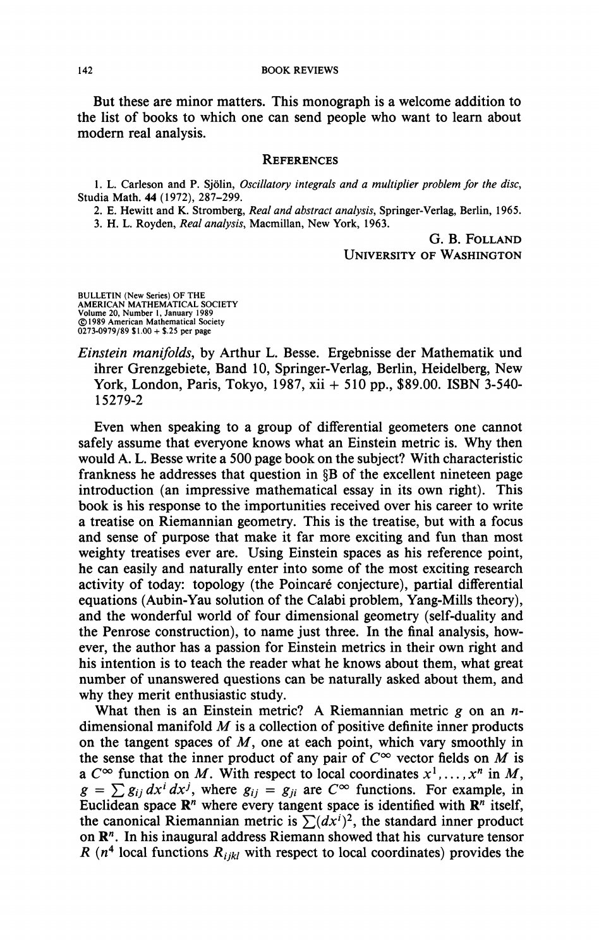But these are minor matters. This monograph is a welcome addition to the list of books to which one can send people who want to learn about modern real analysis.

## **REFERENCES**

**1. L. Carleson and P. Sjölin,** *Oscillatory integrals and a multiplier problem for the disc,*  **Studia Math. 44 (1972), 287-299.** 

**2. E. Hewitt and K. Stromberg,** *Real and abstract analysis,* **Springer-Verlag, Berlin, 1965. 3. H. L. Royden,** *Real analysis,* **Macmillan, New York, 1963.** 

> G. B. FOLLAND UNIVERSITY OF WASHINGTON

BULLETIN (New Series) OF THE AMERICAN MATHEMATICAL SOCIETY Volume 20, Number 1, January 1989 © 1989 American Mathematical Society 0273-0979/89 \$1.00 + \$.25 per page

## *Einstein manifolds,* by Arthur L. Besse. Ergebnisse der Mathematik und ihrer Grenzgebiete, Band 10, Springer-Verlag, Berlin, Heidelberg, New York, London, Paris, Tokyo, 1987, xii + 510 pp., \$89.00. ISBN 3-540- 15279-2

Even when speaking to a group of differential geometers one cannot safely assume that everyone knows what an Einstein metric is. Why then would A. L. Besse write a 500 page book on the subject? With characteristic frankness he addresses that question in §B of the excellent nineteen page introduction (an impressive mathematical essay in its own right). This book is his response to the importunities received over his career to write a treatise on Riemannian geometry. This is the treatise, but with a focus and sense of purpose that make it far more exciting and fun than most weighty treatises ever are. Using Einstein spaces as his reference point, he can easily and naturally enter into some of the most exciting research activity of today: topology (the Poincaré conjecture), partial differential equations (Aubin-Yau solution of the Calabi problem, Yang-Mills theory), and the wonderful world of four dimensional geometry (self-duality and the Penrose construction), to name just three. In the final analysis, however, the author has a passion for Einstein metrics in their own right and his intention is to teach the reader what he knows about them, what great number of unanswered questions can be naturally asked about them, and why they merit enthusiastic study.

What then is an Einstein metric? A Riemannian metric *g* on an *n*dimensional manifold  $M$  is a collection of positive definite inner products on the tangent spaces of  $M$ , one at each point, which vary smoothly in the sense that the inner product of any pair of  $C^{\infty}$  vector fields on M is a  $C^{\infty}$  function on M. With respect to local coordinates  $x^1, \ldots, x^n$  in M,  $g = \sum g_{ij} dx^{i} dx^{j}$ , where  $g_{ij} = g_{ji}$  are  $C^{\infty}$  functions. For example, in Euclidean space  $\mathbb{R}^n$  where every tangent space is identified with  $\mathbb{R}^n$  itself, the canonical Riemannian metric is  $\sum (dx^i)^2$ , the standard inner product on  $\mathbb{R}^n$ . In his inaugural address Riemann showed that his curvature tensor  $R$  ( $n<sup>4</sup>$  local functions  $R_{ijkl}$  with respect to local coordinates) provides the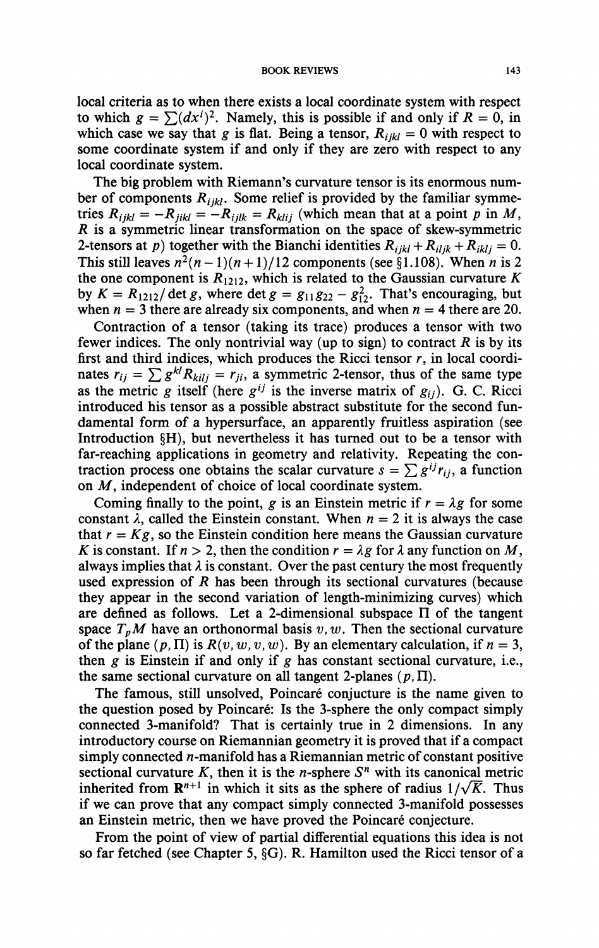**local criteria as to when there exists a local coordinate system with respect**  to which  $g = \sum (dx^i)^2$ . Namely, this is possible if and only if  $R = 0$ , in which case we say that *g* is flat. Being a tensor,  $R_{ijkl} = 0$  with respect to **some coordinate system if and only if they are zero with respect to any local coordinate system.** 

**The big problem with Riemann's curvature tensor is its enormous num**ber of components  $R_{ijkl}$ . Some relief is provided by the familiar symme**tries**  $R_{ijkl} = -R_{jikl} = -R_{ijlk} = R_{klij}$  (which mean that at a point *p* in *M*, *R* **is a symmetric linear transformation on the space of skew-symmetric 2-tensors at** *p*) together with the Bianchi identities  $R_{ijkl} + R_{ilik} + R_{iklj} = 0$ . This still leaves  $n^2(n-1)(n+1)/12$  components (see §1.108). When *n* is 2 the one component is  $R_{1212}$ , which is related to the Gaussian curvature  $K$ **by**  $K = R_{1212}/\det g$ , where  $\det g = g_{11}g_{22} - g_{12}^2$ . That's encouraging, but when  $n = 3$  there are already six components, and when  $n = 4$  there are 20.

**Contraction of a tensor (taking its trace) produces a tensor with two fewer indices. The only nontrivial way (up to sign) to contract** *R* **is by its first and third indices, which produces the Ricci tensor r, in local coordi**nates  $r_{ij} = \sum g^{kl} R_{kilj} = r_{ji}$ , a symmetric 2-tensor, thus of the same type as the metric *g* itself (here  $g^{ij}$  is the inverse matrix of  $g_{ij}$ ). G. C. Ricci **introduced his tensor as a possible abstract substitute for the second fundamental form of a hypersurface, an apparently fruitless aspiration (see Introduction §H), but nevertheless it has turned out to be a tensor with far-reaching applications in geometry and relativity. Repeating the contraction process one obtains the scalar curvature**  $s = \sum g^{ij}r_{ij}$ , a function **on** *M***, independent of choice of local coordinate system.** 

Coming finally to the point, *g* is an Einstein metric if  $r = \lambda g$  for some constant  $\lambda$ , called the Einstein constant. When  $n = 2$  it is always the case that  $r = Kg$ , so the Einstein condition here means the Gaussian curvature *K* is constant. If  $n > 2$ , then the condition  $r = \lambda g$  for  $\lambda$  any function on *M*, always implies that  $\lambda$  is constant. Over the past century the most frequently **used expression of** *R* **has been through its sectional curvatures (because they appear in the second variation of length-minimizing curves) which are defined as follows. Let a 2-dimensional subspace II of the tangent**  space  $T_pM$  have an orthonormal basis  $v, w$ . Then the sectional curvature of the plane  $(p, \Pi)$  is  $R(v, w, v, w)$ . By an elementary calculation, if  $n = 3$ , **then**  $g$  is Einstein if and only if  $g$  has constant sectional curvature, i.e., the same sectional curvature on all tangent 2-planes  $(p,\Pi)$ .

**The famous, still unsolved, Poincaré conjucture is the name given to the question posed by Poincaré: Is the 3-sphere the only compact simply connected 3-manifold? That is certainly true in 2 dimensions. In any introductory course on Riemannian geometry it is proved that if a compact**  simply connected *n*-manifold has a Riemannian metric of constant positive sectional curvature  $K$ , then it is the *n*-sphere  $S<sup>n</sup>$  with its canonical metric inherited from  $\mathbb{R}^{n+1}$  in which it sits as the sphere of radius  $1/\sqrt{K}$ . Thus **if we can prove that any compact simply connected 3-manifold possesses an Einstein metric, then we have proved the Poincaré conjecture.** 

**From the point of view of partial differential equations this idea is not so far fetched (see Chapter 5, §G). R. Hamilton used the Ricci tensor of a**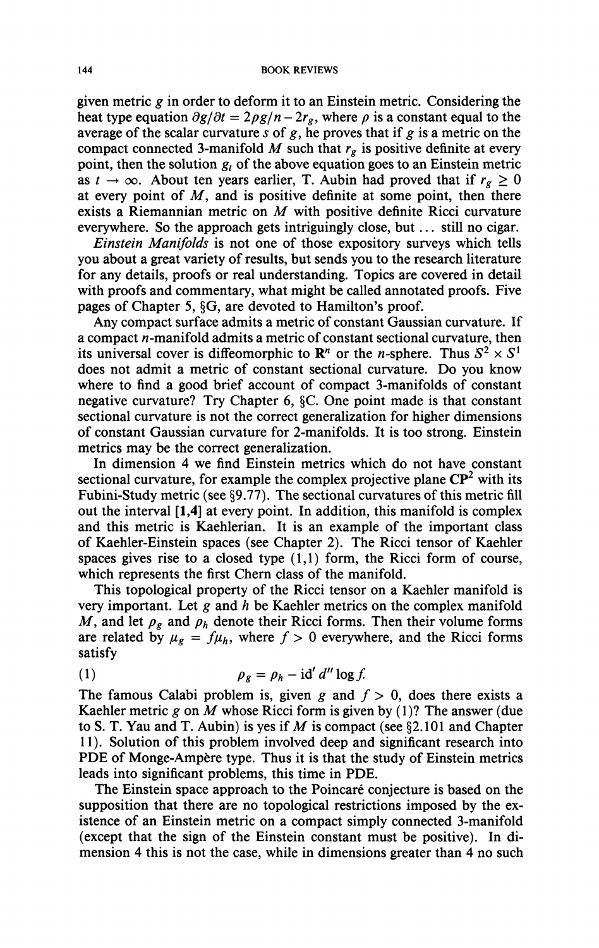given metric *g* in order to deform it to an Einstein metric. Considering the heat type equation  $\partial g/\partial t = 2\rho g/n - 2r_g$ , where  $\rho$  is a constant equal to the average of the scalar curvature *s* of *g,* he proves that if *g* is a metric on the compact connected 3-manifold  $M$  such that  $r_g$  is positive definite at every point, then the solution  $g_t$  of the above equation goes to an Einstein metric as  $t \to \infty$ . About ten years earlier, T. Aubin had proved that if  $r_g \ge 0$ at every point of  $M$ , and is positive definite at some point, then there exists a Riemannian metric on *M* with positive definite Ricci curvature everywhere. So the approach gets intriguingly close, but... still no cigar.

*Einstein Manifolds* is not one of those expository surveys which tells you about a great variety of results, but sends you to the research literature for any details, proofs or real understanding. Topics are covered in detail with proofs and commentary, what might be called annotated proofs. Five pages of Chapter 5, §G, are devoted to Hamilton's proof.

Any compact surface admits a metric of constant Gaussian curvature. If a compact  $n$ -manifold admits a metric of constant sectional curvature, then its universal cover is diffeomorphic to  $\mathbb{R}^n$  or the *n*-sphere. Thus  $S^2 \times S^1$ does not admit a metric of constant sectional curvature. Do you know where to find a good brief account of compact 3-manifolds of constant negative curvature? Try Chapter 6, §C. One point made is that constant sectional curvature is not the correct generalization for higher dimensions of constant Gaussian curvature for 2-manifolds. It is too strong. Einstein metrics may be the correct generalization.

In dimension 4 we find Einstein metrics which do not have constant sectional curvature, for example the complex projective plane  $\mathbb{CP}^2$  with its Fubini-Study metric (see §9.77). The sectional curvatures of this metric fill out the interval [1,4] at every point. In addition, this manifold is complex and this metric is Kaehlerian. It is an example of the important class of Kaehler-Einstein spaces (see Chapter 2). The Ricci tensor of Kaehler spaces gives rise to a closed type  $(1,1)$  form, the Ricci form of course, which represents the first Chern class of the manifold.

This topological property of the Ricci tensor on a Kaehler manifold is very important. Let *g* and *h* be Kaehler metrics on the complex manifold *M*, and let  $\rho_g$  and  $\rho_h$  denote their Ricci forms. Then their volume forms are related by  $\mu_g = f\mu_h$ , where  $f > 0$  everywhere, and the Ricci forms satisfy

$$
\rho_g = \rho_h - \mathrm{id}' \, d'' \log f.
$$

The famous Calabi problem is, given  $g$  and  $f > 0$ , does there exists a Kaehler metric *g* on *M* whose Ricci form is given by (1)? The answer (due to S. T. Yau and T. Aubin) is yes if *M* is compact (see §2.101 and Chapter 11). Solution of this problem involved deep and significant research into PDE of Monge-Ampère type. Thus it is that the study of Einstein metrics leads into significant problems, this time in PDE.

The Einstein space approach to the Poincaré conjecture is based on the supposition that there are no topological restrictions imposed by the existence of an Einstein metric on a compact simply connected 3-manifold (except that the sign of the Einstein constant must be positive). In dimension 4 this is not the case, while in dimensions greater than 4 no such